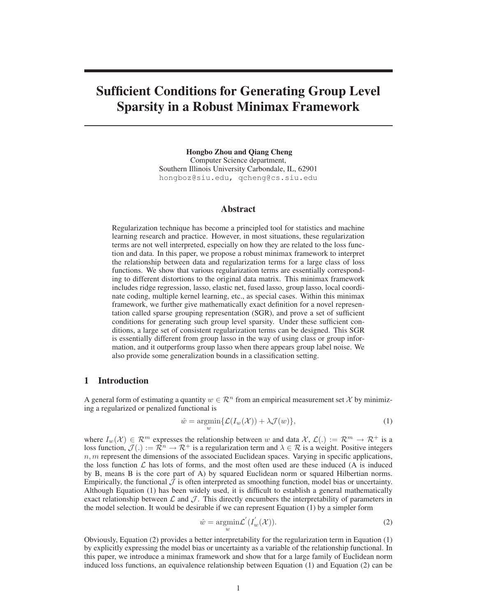# **Sufficient Conditions for Generating Group Level Sparsity in a Robust Minimax Framework**

**Hongbo Zhou and Qiang Cheng** Computer Science department, Southern Illinois University Carbondale, IL, 62901 hongboz@siu.edu, qcheng@cs.siu.edu

### **Abstract**

Regularization technique has become a principled tool for statistics and machine learning research and practice. However, in most situations, these regularization terms are not well interpreted, especially on how they are related to the loss function and data. In this paper, we propose a robust minimax framework to interpret the relationship between data and regularization terms for a large class of loss functions. We show that various regularization terms are essentially corresponding to different distortions to the original data matrix. This minimax framework includes ridge regression, lasso, elastic net, fused lasso, group lasso, local coordinate coding, multiple kernel learning, etc., as special cases. Within this minimax framework, we further give mathematically exact definition for a novel representation called sparse grouping representation (SGR), and prove a set of sufficient conditions for generating such group level sparsity. Under these sufficient conditions, a large set of consistent regularization terms can be designed. This SGR is essentially different from group lasso in the way of using class or group information, and it outperforms group lasso when there appears group label noise. We also provide some generalization bounds in a classification setting.

# **1 Introduction**

A general form of estimating a quantity  $w \in \mathcal{R}^n$  from an empirical measurement set X by minimizing a regularized or penalized functional is

$$
\hat{w} = \underset{w}{\operatorname{argmin}} \{ \mathcal{L}(I_w(\mathcal{X})) + \lambda \mathcal{J}(w) \},\tag{1}
$$

where  $I_w(\mathcal{X}) \in \mathcal{R}^m$  expresses the relationship between w and data  $\mathcal{X}, \mathcal{L}(.) := \mathcal{R}^m \to \mathcal{R}^+$  is a loss function,  $\mathcal{J}(\cdot) := \mathbb{R}^n \to \mathbb{R}^+$  is a regularization term and  $\lambda \in \mathbb{R}$  is a weight. Positive integers  $n, m$  represent the dimensions of the associated Euclidean spaces. Varying in specific applications, the loss function  $\mathcal L$  has lots of forms, and the most often used are these induced (A is induced by B, means B is the core part of A) by squared Euclidean norm or squared Hilbertian norms. Empirically, the functional  $\mathcal J$  is often interpreted as smoothing function, model bias or uncertainty. Although Equation (1) has been widely used, it is difficult to establish a general mathematically exact relationship between  $\mathcal L$  and  $\mathcal J$ . This directly encumbers the interpretability of parameters in the model selection. It would be desirable if we can represent Equation (1) by a simpler form

$$
\hat{w} = \underset{w}{\operatorname{argmin}} \mathcal{L}'(I_w'(\mathcal{X})).
$$
\n(2)

Obviously, Equation (2) provides a better interpretability for the regularization term in Equation (1) by explicitly expressing the model bias or uncertainty as a variable of the relationship functional. In this paper, we introduce a minimax framework and show that for a large family of Euclidean norm induced loss functions, an equivalence relationship between Equation (1) and Equation (2) can be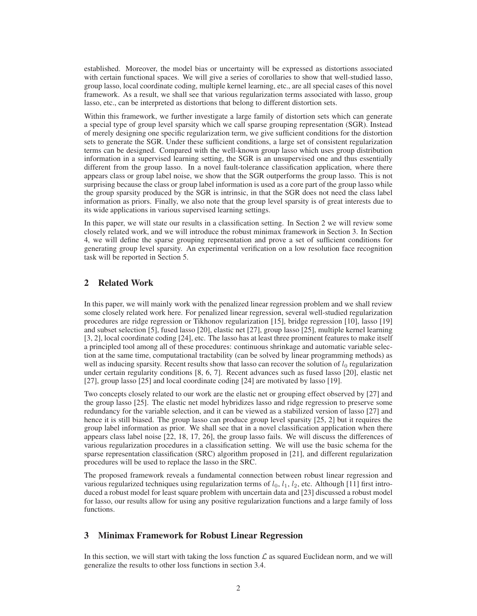established. Moreover, the model bias or uncertainty will be expressed as distortions associated with certain functional spaces. We will give a series of corollaries to show that well-studied lasso, group lasso, local coordinate coding, multiple kernel learning, etc., are all special cases of this novel framework. As a result, we shall see that various regularization terms associated with lasso, group lasso, etc., can be interpreted as distortions that belong to different distortion sets.

Within this framework, we further investigate a large family of distortion sets which can generate a special type of group level sparsity which we call sparse grouping representation (SGR). Instead of merely designing one specific regularization term, we give sufficient conditions for the distortion sets to generate the SGR. Under these sufficient conditions, a large set of consistent regularization terms can be designed. Compared with the well-known group lasso which uses group distribution information in a supervised learning setting, the SGR is an unsupervised one and thus essentially different from the group lasso. In a novel fault-tolerance classification application, where there appears class or group label noise, we show that the SGR outperforms the group lasso. This is not surprising because the class or group label information is used as a core part of the group lasso while the group sparsity produced by the SGR is intrinsic, in that the SGR does not need the class label information as priors. Finally, we also note that the group level sparsity is of great interests due to its wide applications in various supervised learning settings.

In this paper, we will state our results in a classification setting. In Section 2 we will review some closely related work, and we will introduce the robust minimax framework in Section 3. In Section 4, we will define the sparse grouping representation and prove a set of sufficient conditions for generating group level sparsity. An experimental verification on a low resolution face recognition task will be reported in Section 5.

# **2 Related Work**

In this paper, we will mainly work with the penalized linear regression problem and we shall review some closely related work here. For penalized linear regression, several well-studied regularization procedures are ridge regression or Tikhonov regularization [15], bridge regression [10], lasso [19] and subset selection [5], fused lasso [20], elastic net [27], group lasso [25], multiple kernel learning [3, 2], local coordinate coding [24], etc. The lasso has at least three prominent features to make itself a principled tool among all of these procedures: continuous shrinkage and automatic variable selection at the same time, computational tractability (can be solved by linear programming methods) as well as inducing sparsity. Recent results show that lasso can recover the solution of  $l_0$  regularization under certain regularity conditions [8, 6, 7]. Recent advances such as fused lasso [20], elastic net [27], group lasso [25] and local coordinate coding [24] are motivated by lasso [19].

Two concepts closely related to our work are the elastic net or grouping effect observed by [27] and the group lasso [25]. The elastic net model hybridizes lasso and ridge regression to preserve some redundancy for the variable selection, and it can be viewed as a stabilized version of lasso [27] and hence it is still biased. The group lasso can produce group level sparsity [25, 2] but it requires the group label information as prior. We shall see that in a novel classification application when there appears class label noise [22, 18, 17, 26], the group lasso fails. We will discuss the differences of various regularization procedures in a classification setting. We will use the basic schema for the sparse representation classification (SRC) algorithm proposed in [21], and different regularization procedures will be used to replace the lasso in the SRC.

The proposed framework reveals a fundamental connection between robust linear regression and various regularized techniques using regularization terms of  $l_0$ ,  $l_1$ ,  $l_2$ , etc. Although [11] first introduced a robust model for least square problem with uncertain data and [23] discussed a robust model for lasso, our results allow for using any positive regularization functions and a large family of loss functions.

# **3 Minimax Framework for Robust Linear Regression**

In this section, we will start with taking the loss function  $\mathcal L$  as squared Euclidean norm, and we will generalize the results to other loss functions in section 3.4.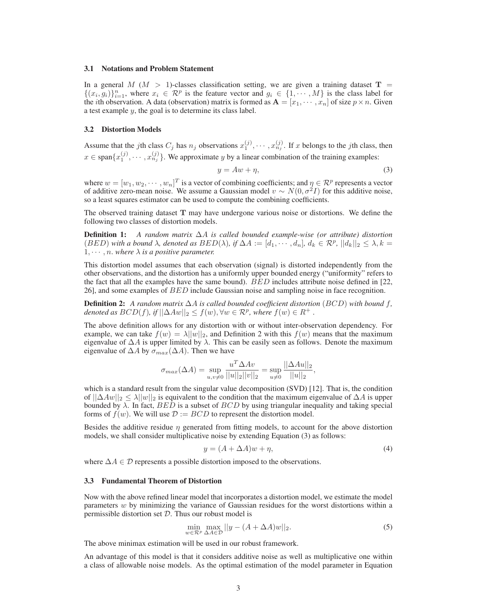### **3.1 Notations and Problem Statement**

In a general  $M$  ( $M > 1$ )-classes classification setting, we are given a training dataset T =  $\{(x_i, g_i)\}_{i=1}^n$ , where  $x_i \in \mathcal{R}^p$  is the feature vector and  $g_i \in \{1, \dots, M\}$  is the class label for the *i*th observation. A data (observation) matrix is formed as  $A = [x_1, \dots, x_n]$  of size  $p \times n$ . Given a test example y, the goal is to determine its class label.

#### **3.2 Distortion Models**

Assume that the jth class  $C_j$  has  $n_j$  observations  $x_1^{(j)}, \dots, x_{n_j}^{(j)}$ . If x belongs to the jth class, then  $x \in \text{span}\{x_1^{(j)}, \dots, x_{n_j}^{(j)}\}$ . We approximate y by a linear combination of the training examples:

$$
y = Aw + \eta,\tag{3}
$$

where  $w = [w_1, w_2, \dots, w_n]^T$  is a vector of combining coefficients; and  $\eta \in \mathcal{R}^p$  represents a vector of additive zero-mean noise. We assume a Gaussian model  $v \sim N(0, \sigma^2 I)$  for this additive noise, so a least squares estimator can be used to compute the combining coefficients.

The observed training dataset T may have undergone various noise or distortions. We define the following two classes of distortion models.

**Definition 1:** *A random matrix* ∆A *is called bounded example-wise (or attribute) distortion*  $(BED)$  *with a bound*  $\lambda$ *, denoted as*  $BED(\lambda)$ *, if*  $\Delta A := [d_1, \cdots, d_n]$ *,*  $d_k \in \mathcal{R}^p$ *,*  $||d_k||_2 \leq \lambda$ *, k* =  $1, \dots, n$ . where  $\lambda$  *is a positive parameter.* 

This distortion model assumes that each observation (signal) is distorted independently from the other observations, and the distortion has a uniformly upper bounded energy ("uniformity" refers to the fact that all the examples have the same bound). BED includes attribute noise defined in [22, 26], and some examples of BED include Gaussian noise and sampling noise in face recognition.

**Definition 2:** *A random matrix* ∆A *is called bounded coefficient distortion* (BCD) *with bound* f*, denoted as*  $BCD(f)$ *, if*  $||\Delta Aw||_2 \le f(w)$ ,  $\forall w \in \mathcal{R}^p$ *, where*  $f(w) \in R^+$ *.* 

The above definition allows for any distortion with or without inter-observation dependency. For example, we can take  $f(w) = \lambda ||w||_2$ , and Definition 2 with this  $f(w)$  means that the maximum eigenvalue of  $\Delta A$  is upper limited by  $\lambda$ . This can be easily seen as follows. Denote the maximum eigenvalue of  $\Delta A$  by  $\sigma_{max}(\Delta A)$ . Then we have

$$
\sigma_{max}(\Delta A) = \sup_{u,v \neq 0} \frac{u^T \Delta Av}{||u||_2||v||_2} = \sup_{u \neq 0} \frac{||\Delta Au||_2}{||u||_2},
$$

which is a standard result from the singular value decomposition (SVD) [12]. That is, the condition of  $||\Delta Aw||_2 \le \lambda ||w||_2$  is equivalent to the condition that the maximum eigenvalue of  $\Delta A$  is upper bounded by  $\lambda$ . In fact, BED is a subset of BCD by using triangular inequality and taking special forms of  $f(w)$ . We will use  $\mathcal{D} := BCD$  to represent the distortion model.

Besides the additive residue  $\eta$  generated from fitting models, to account for the above distortion models, we shall consider multiplicative noise by extending Equation (3) as follows:

$$
y = (A + \Delta A)w + \eta,\tag{4}
$$

where  $\Delta A \in \mathcal{D}$  represents a possible distortion imposed to the observations.

### **3.3 Fundamental Theorem of Distortion**

Now with the above refined linear model that incorporates a distortion model, we estimate the model parameters  $w$  by minimizing the variance of Gaussian residues for the worst distortions within a permissible distortion set  $D$ . Thus our robust model is

$$
\min_{w \in \mathcal{R}^p} \max_{\Delta A \in \mathcal{D}} ||y - (A + \Delta A)w||_2.
$$
\n(5)

The above minimax estimation will be used in our robust framework.

An advantage of this model is that it considers additive noise as well as multiplicative one within a class of allowable noise models. As the optimal estimation of the model parameter in Equation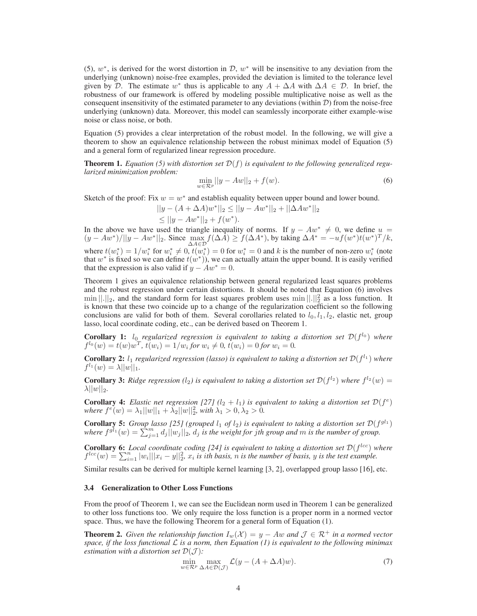(5),  $w^*$ , is derived for the worst distortion in  $\mathcal{D}$ ,  $w^*$  will be insensitive to any deviation from the underlying (unknown) noise-free examples, provided the deviation is limited to the tolerance level given by D. The estimate w<sup>\*</sup> thus is applicable to any  $A + \Delta A$  with  $\Delta A \in \mathcal{D}$ . In brief, the robustness of our framework is offered by modeling possible multiplicative noise as well as the consequent insensitivity of the estimated parameter to any deviations (within  $D$ ) from the noise-free underlying (unknown) data. Moreover, this model can seamlessly incorporate either example-wise noise or class noise, or both.

Equation (5) provides a clear interpretation of the robust model. In the following, we will give a theorem to show an equivalence relationship between the robust minimax model of Equation (5) and a general form of regularized linear regression procedure.

**Theorem 1.** *Equation (5) with distortion set*  $\mathcal{D}(f)$  *is equivalent to the following generalized regularized minimization problem:*

$$
\min_{w \in \mathcal{R}^p} ||y - Aw||_2 + f(w).
$$
\n(6)

Sketch of the proof: Fix  $w = w^*$  and establish equality between upper bound and lower bound.

$$
||y - (A + \Delta A)w^*||_2 \le ||y - Aw^*||_2 + ||\Delta Aw^*||_2
$$
  
\n
$$
\le ||y - Aw^*||_2 + f(w^*).
$$

In the above we have used the triangle inequality of norms. If  $y - Aw^* \neq 0$ , we define  $u =$  $(y - Aw^*)/||y - Aw^*||_2$ . Since  $\max_{\Delta A \in \mathcal{D}} f(\Delta \overline{A}) \ge f(\Delta A^*)$ , by taking  $\Delta A^* = -uf(w^*)t(w^*)^T/k$ , where  $t(w_i^*) = 1/w_i^*$  for  $w_i^* \neq 0$ ,  $t(w_i^*) = 0$  for  $w_i^* = 0$  and k is the number of non-zero  $w_i^*$  (note that  $w^*$  is fixed so we can define  $t(w^*)$ , we can actually attain the upper bound. It is easily verified that the expression is also valid if  $y - Aw^* = 0$ .

Theorem 1 gives an equivalence relationship between general regularized least squares problems and the robust regression under certain distortions. It should be noted that Equation (6) involves  $\min ||.||_2$ , and the standard form for least squares problem uses  $\min ||.||_2^2$  as a loss function. It is known that these two coincide up to a change of the regularization coefficient so the following conclusions are valid for both of them. Several corollaries related to  $l_0, l_1, l_2$ , elastic net, group lasso, local coordinate coding, etc., can be derived based on Theorem 1.

**Corollary 1:**  $l_0$  *regularized regression is equivalent to taking a distortion set*  $\mathcal{D}(f^{l_0})$  *where*  $f^{l_0}(w) = t(w)w^T$ ,  $t(w_i) = 1/w_i$  for  $w_i \neq 0$ ,  $t(w_i) = 0$  for  $w_i = 0$ .

**Corollary 2:**  $l_1$  *regularized regression (lasso) is equivalent to taking a distortion set*  $\mathcal{D}(f^{l_1})$  *where*  $f^{l_1}(w) = \lambda ||w||_1.$ 

**Corollary 3:** Ridge regression ( $l_2$ ) is equivalent to taking a distortion set  $\mathcal{D}(f^{l_2})$  where  $f^{l_2}(w)$  =  $\lambda ||w||_2.$ 

**Corollary 4:** *Elastic net regression* [27]  $(l_2 + l_1)$  is equivalent to taking a distortion set  $\mathcal{D}(f^e)$  $where \ f^e(w) = \lambda_1 ||w||_1 + \lambda_2 ||w||_2^2$ , with  $\lambda_1 > 0, \lambda_2 > 0$ .

**Corollary 5:** *Group lasso [25] (grouped*  $l_1$  *of*  $l_2$ ) *is equivalent to taking a distortion set*  $\mathcal{D}(f^{gl_1})$ where  $f^{g\bar{l}_1}(w) = \sum_{j=1}^m d_j ||w_j||_2$ ,  $d_j$  *is the weight for jth group and m is the number of group.* 

**Corollary 6:** Local coordinate coding [24] is equivalent to taking a distortion set  $\mathcal{D}(f^{lcc})$  where  $f^{loc}(w) = \sum_{i=1}^{n} |w_i|| |x_i - y||_2^2$ ,  $x_i$  *is ith basis,* n *is the number of basis,* y *is the test example.* 

Similar results can be derived for multiple kernel learning [3, 2], overlapped group lasso [16], etc.

#### **3.4 Generalization to Other Loss Functions**

From the proof of Theorem 1, we can see the Euclidean norm used in Theorem 1 can be generalized to other loss functions too. We only require the loss function is a proper norm in a normed vector space. Thus, we have the following Theorem for a general form of Equation (1).

**Theorem 2.** *Given the relationship function*  $I_w(\mathcal{X}) = y - Aw$  *and*  $\mathcal{J} \in \mathbb{R}^+$  *in a normed vector* space, if the loss functional  $\mathcal L$  *is a norm, then Equation (1) is equivalent to the following minimax estimation with a distortion set*  $\mathcal{D}(\mathcal{J})$ *:* 

$$
\min_{w \in \mathcal{R}^p} \max_{\Delta A \in \mathcal{D}(\mathcal{J})} \mathcal{L}(y - (A + \Delta A)w). \tag{7}
$$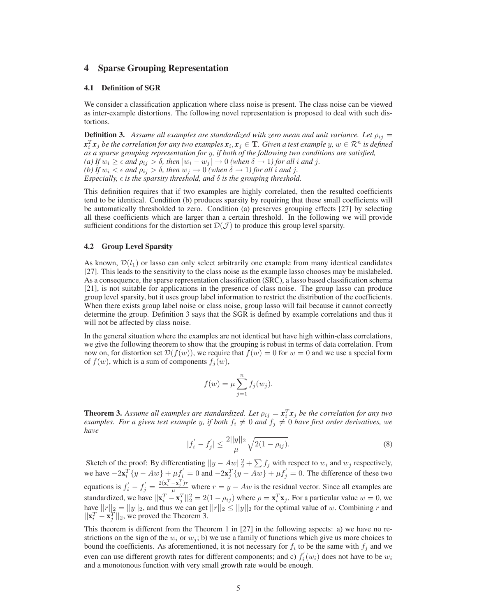# **4 Sparse Grouping Representation**

#### **4.1 Definition of SGR**

We consider a classification application where class noise is present. The class noise can be viewed as inter-example distortions. The following novel representation is proposed to deal with such distortions.

**Definition 3.** Assume all examples are standardized with zero mean and unit variance. Let  $\rho_{ij} =$  $x_i^T x_j$  *be the correlation for any two examples*  $x_i, x_j \in \mathbf{T}$ *. Given a test example*  $y, w \in \mathcal{R}^n$  *is defined as a sparse grouping representation for* y*, if both of the following two conditions are satisfied, (a)* If  $w_i \geq \epsilon$  *and*  $\rho_{ij} > \delta$ *, then*  $|w_i - w_j| \to 0$  *(when*  $\delta \to 1$ *)* for all *i and* j. *(b)* If  $w_i < \epsilon$  *and*  $\rho_{ij} > \delta$ *, then*  $w_j \to 0$  *(when*  $\delta \to 1$ *)* for all *i and j*. *Especially,*  $\epsilon$  *is the sparsity threshold, and*  $\delta$  *is the grouping threshold.* 

This definition requires that if two examples are highly correlated, then the resulted coefficients tend to be identical. Condition (b) produces sparsity by requiring that these small coefficients will be automatically thresholded to zero. Condition (a) preserves grouping effects [27] by selecting all these coefficients which are larger than a certain threshold. In the following we will provide sufficient conditions for the distortion set  $\mathcal{D}(\mathcal{J})$  to produce this group level sparsity.

#### **4.2 Group Level Sparsity**

As known,  $\mathcal{D}(l_1)$  or lasso can only select arbitrarily one example from many identical candidates [27]. This leads to the sensitivity to the class noise as the example lasso chooses may be mislabeled. As a consequence, the sparse representation classification (SRC), a lasso based classification schema [21], is not suitable for applications in the presence of class noise. The group lasso can produce group level sparsity, but it uses group label information to restrict the distribution of the coefficients. When there exists group label noise or class noise, group lasso will fail because it cannot correctly determine the group. Definition 3 says that the SGR is defined by example correlations and thus it will not be affected by class noise.

In the general situation where the examples are not identical but have high within-class correlations, we give the following theorem to show that the grouping is robust in terms of data correlation. From now on, for distortion set  $\mathcal{D}(f(w))$ , we require that  $f(w) = 0$  for  $w = 0$  and we use a special form of  $f(w)$ , which is a sum of components  $f_j(w)$ ,

$$
f(w) = \mu \sum_{j=1}^{n} f_j(w_j).
$$

**Theorem 3.** Assume all examples are standardized. Let  $\rho_{ij} = x_i^T x_j$  be the correlation for any two *examples. For a given test example* y, if both  $f_i \neq 0$  and  $f_j \neq 0$  have first order derivatives, we *have*

$$
|f'_i - f'_j| \le \frac{2||y||_2}{\mu} \sqrt{2(1 - \rho_{ij})}.
$$
 (8)

Sketch of the proof: By differentiating  $||y - Aw||_2^2 + \sum f_j$  with respect to  $w_i$  and  $w_j$  respectively, we have  $-2x_i^T\{y - Aw\} + \mu f'_i = 0$  and  $-2x_j^T\{y - Aw\} + \mu f'_j = 0$ . The difference of these two equations is  $f'_i - f'_j = \frac{2(\mathbf{x}_i^T - \mathbf{x}_j^T)r}{\mu}$  $\frac{f(x,y)}{\mu}$  where  $r = y - Aw$  is the residual vector. Since all examples are standardized, we have  $||\mathbf{x}_i^T - \mathbf{x}_j^T||_2^2 = 2(1 - \rho_{ij})$  where  $\rho = \mathbf{x}_i^T \mathbf{x}_j$ . For a particular value  $w = 0$ , we have  $||r||_2 = ||y||_2$ , and thus we can get  $||r||_2 \le ||y||_2$  for the optimal value of w. Combining r and  $||\mathbf{v}^T - \mathbf{v}^T||_2$  we proved the Theorem 3  $||\mathbf{x}_i^T - \mathbf{x}_j^T||_2$ , we proved the Theorem 3.

This theorem is different from the Theorem 1 in [27] in the following aspects: a) we have no restrictions on the sign of the  $w_i$  or  $w_j$ ; b) we use a family of functions which give us more choices to bound the coefficients. As aforementioned, it is not necessary for  $f_i$  to be the same with  $f_j$  and we even can use different growth rates for different components; and c)  $f_i$  $i_i(w_i)$  does not have to be  $w_i$ and a monotonous function with very small growth rate would be enough.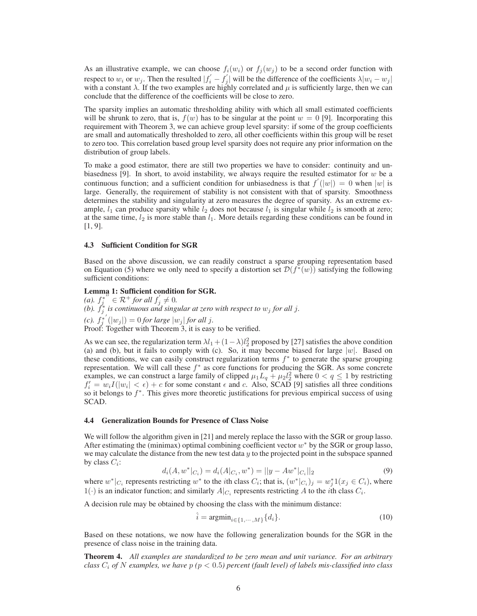As an illustrative example, we can choose  $f_i(w_i)$  or  $f_i(w_i)$  to be a second order function with respect to  $w_i$  or  $w_j$ . Then the resulted  $|f'_i - f'_j|$  $y'_{j}$  will be the difference of the coefficients  $\lambda |w_{i} - w_{j}|$ with a constant  $\lambda$ . If the two examples are highly correlated and  $\mu$  is sufficiently large, then we can conclude that the difference of the coefficients will be close to zero.

The sparsity implies an automatic thresholding ability with which all small estimated coefficients will be shrunk to zero, that is,  $f(w)$  has to be singular at the point  $w = 0$  [9]. Incorporating this requirement with Theorem 3, we can achieve group level sparsity: if some of the group coefficients are small and automatically thresholded to zero, all other coefficients within this group will be reset to zero too. This correlation based group level sparsity does not require any prior information on the distribution of group labels.

To make a good estimator, there are still two properties we have to consider: continuity and unbiasedness [9]. In short, to avoid instability, we always require the resulted estimator for  $w$  be a continuous function; and a sufficient condition for unbiasedness is that  $f'(|w|) = 0$  when |w| is large. Generally, the requirement of stability is not consistent with that of sparsity. Smoothness determines the stability and singularity at zero measures the degree of sparsity. As an extreme example,  $l_1$  can produce sparsity while  $l_2$  does not because  $l_1$  is singular while  $l_2$  is smooth at zero; at the same time,  $l_2$  is more stable than  $l_1$ . More details regarding these conditions can be found in [1, 9].

#### **4.3 Sufficient Condition for SGR**

Based on the above discussion, we can readily construct a sparse grouping representation based on Equation (5) where we only need to specify a distortion set  $\mathcal{D}(f^*(w))$  satisfying the following sufficient conditions:

### **Lemma 1: Sufficient condition for SGR.**

 $(a)$ .  $f_j^*$  $\overset{\bullet}{\varepsilon}$  **c**  $\mathcal{R}^+$  *for all*  $f'_i$  $j \neq 0.$ (b).  $f_j^*$  is continuous and singular at zero with respect to  $w_j$  for all j. *(c).*  $f_j^*([\omega_j]) = 0$  *for large*  $|\omega_j|$  *for all j.* Proof: Together with Theorem 3, it is easy to be verified.

As we can see, the regularization term  $\lambda l_1 + (1 - \lambda)l_2^2$  proposed by [27] satisfies the above condition (a) and (b), but it fails to comply with (c). So, it may become biased for large  $|w|$ . Based on these conditions, we can easily construct regularization terms  $f^*$  to generate the sparse grouping representation. We will call these  $f^*$  as core functions for producing the SGR. As some concrete examples, we can construct a large family of clipped  $\mu_1 L_q + \mu_2 l_2^2$  where  $0 < q \le 1$  by restricting  $f'_i = w_i I(|w_i| < \epsilon) + c$  for some constant  $\epsilon$  and  $c$ . Also, SCAD [9] satisfies all three conditions so it belongs to  $f^*$ . This gives more theoretic justifications for previous empirical success of using SCAD.

#### **4.4 Generalization Bounds for Presence of Class Noise**

We will follow the algorithm given in [21] and merely replace the lasso with the SGR or group lasso. After estimating the (minimax) optimal combining coefficient vector  $w^*$  by the SGR or group lasso, we may calculate the distance from the new test data  $y$  to the projected point in the subspace spanned by class  $C_i$ :

$$
d_i(A, w^*|_{C_i}) = d_i(A|_{C_i}, w^*) = ||y - Aw^*|_{C_i}||_2
$$
\n(9)

where  $w^*|_{C_i}$  represents restricting  $w^*$  to the *i*th class  $C_i$ ; that is,  $(w^*|_{C_i})_j = w^*_j 1$  $(x_j \in C_i)$ , where  $1(\cdot)$  is an indicator function; and similarly  $A|_{C_i}$  represents restricting A to the *i*th class  $C_i$ .

A decision rule may be obtained by choosing the class with the minimum distance:

$$
\hat{i} = \operatorname{argmin}_{i \in \{1, \cdots, M\}} \{d_i\}.
$$
\n
$$
(10)
$$

Based on these notations, we now have the following generalization bounds for the SGR in the presence of class noise in the training data.

**Theorem 4.** *All examples are standardized to be zero mean and unit variance. For an arbitrary class*  $C_i$  *of* N *examples, we have*  $p$  ( $p < 0.5$ ) percent (fault level) of labels mis-classified into class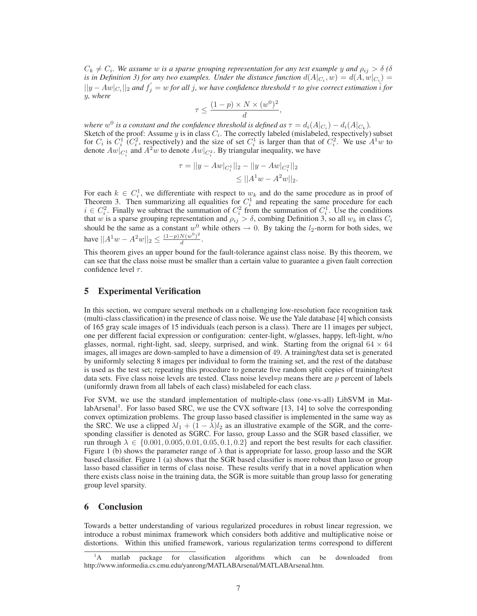$C_k \neq C_i$ . We assume w is a sparse grouping representation for any test example y and  $\rho_{ij} > \delta$  ( $\delta$ is in Definition 3) for any two examples. Under the distance function  $d(A|_{C_i}, w) = d(A, w|_{C_i}) =$  $||y - Aw|_{C_i}||_2$  and  $f'_j = w$  for all j, we have confidence threshold  $\tau$  to give correct estimation  $\hat{i}$  for y*, where*

$$
\tau \le \frac{(1-p) \times N \times (w^0)^2}{d},
$$

where  $w^0$  is a constant and the confidence threshold is defined as  $\tau = d_i(A|_{C_i}) - d_i(A|_{C_k})$ . Sketch of the proof: Assume  $y$  is in class  $C_i$ . The correctly labeled (mislabeled, respectively) subset for  $C_i$  is  $C_i^1$  ( $C_i^2$ , respectively) and the size of set  $C_i^1$  is larger than that of  $C_i^2$ . We use  $A^1w$  to denote  $Aw|_{C_i^1}$  and  $A^2w$  to denote  $Aw|_{C_i^2}$ . By triangular inequality, we have

$$
\tau = ||y - Aw|_{C_i^1}||_2 - ||y - Aw|_{C_i^2}||_2
$$
  

$$
\leq ||A^1w - A^2w||_2.
$$

For each  $k \in C_i^1$ , we differentiate with respect to  $w_k$  and do the same procedure as in proof of Theorem 3. Then summarizing all equalities for  $C_i^1$  and repeating the same procedure for each  $i \in C_i^2$ . Finally we subtract the summation of  $C_i^2$  from the summation of  $C_i^1$ . Use the conditions that w is a sparse grouping representation and  $\rho_{ij} > \delta$ , combing Definition 3, so all  $w_k$  in class  $C_i$ should be the same as a constant  $w^0$  while others  $\rightarrow 0$ . By taking the  $l_2$ -norm for both sides, we have  $||A^1w - A^2w||_2 \le \frac{(1-p)N(w^0)^2}{d}$  $\frac{d(w)}{d}$ .

This theorem gives an upper bound for the fault-tolerance against class noise. By this theorem, we can see that the class noise must be smaller than a certain value to guarantee a given fault correction confidence level  $\tau$ .

# **5 Experimental Verification**

In this section, we compare several methods on a challenging low-resolution face recognition task (multi-class classification) in the presence of class noise. We use the Yale database [4] which consists of 165 gray scale images of 15 individuals (each person is a class). There are 11 images per subject, one per different facial expression or configuration: center-light, w/glasses, happy, left-light, w/no glasses, normal, right-light, sad, sleepy, surprised, and wink. Starting from the orignal  $64 \times 64$ images, all images are down-sampled to have a dimension of 49. A training/test data set is generated by uniformly selecting 8 images per individual to form the training set, and the rest of the database is used as the test set; repeating this procedure to generate five random split copies of training/test data sets. Five class noise levels are tested. Class noise level= $p$  means there are  $p$  percent of labels (uniformly drawn from all labels of each class) mislabeled for each class.

For SVM, we use the standard implementation of multiple-class (one-vs-all) LibSVM in MatlabArsenal<sup>1</sup>. For lasso based SRC, we use the CVX software [13, 14] to solve the corresponding convex optimization problems. The group lasso based classifier is implemented in the same way as the SRC. We use a clipped  $\lambda l_1 + (1 - \lambda)l_2$  as an illustrative example of the SGR, and the corresponding classifier is denoted as SGRC. For lasso, group Lasso and the SGR based classifier, we run through  $\lambda \in \{0.001, 0.005, 0.01, 0.05, 0.1, 0.2\}$  and report the best results for each classifier. Figure 1 (b) shows the parameter range of  $\lambda$  that is appropriate for lasso, group lasso and the SGR based classifier. Figure 1 (a) shows that the SGR based classifier is more robust than lasso or group lasso based classifier in terms of class noise. These results verify that in a novel application when there exists class noise in the training data, the SGR is more suitable than group lasso for generating group level sparsity.

# **6 Conclusion**

Towards a better understanding of various regularized procedures in robust linear regression, we introduce a robust minimax framework which considers both additive and multiplicative noise or distortions. Within this unified framework, various regularization terms correspond to different

matlab package for classification algorithms which can be downloaded from http://www.informedia.cs.cmu.edu/yanrong/MATLABArsenal/MATLABArsenal.htm.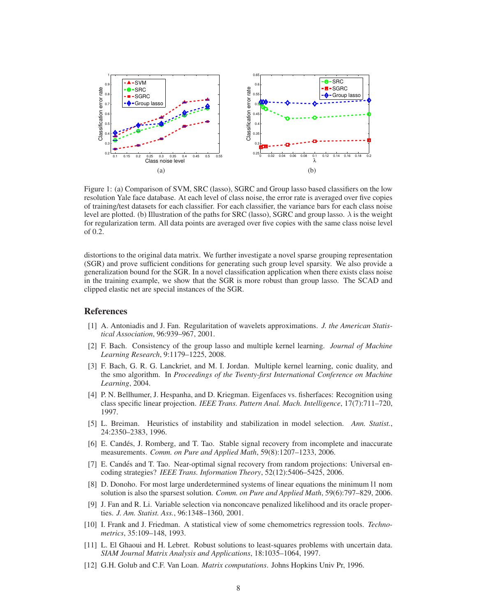

Figure 1: (a) Comparison of SVM, SRC (lasso), SGRC and Group lasso based classifiers on the low resolution Yale face database. At each level of class noise, the error rate is averaged over five copies of training/test datasets for each classifier. For each classifier, the variance bars for each class noise level are plotted. (b) Illustration of the paths for SRC (lasso), SGRC and group lasso.  $\lambda$  is the weight for regularization term. All data points are averaged over five copies with the same class noise level of 0.2.

distortions to the original data matrix. We further investigate a novel sparse grouping representation (SGR) and prove sufficient conditions for generating such group level sparsity. We also provide a generalization bound for the SGR. In a novel classification application when there exists class noise in the training example, we show that the SGR is more robust than group lasso. The SCAD and clipped elastic net are special instances of the SGR.

### **References**

- [1] A. Antoniadis and J. Fan. Regularitation of wavelets approximations. *J. the American Statistical Association*, 96:939–967, 2001.
- [2] F. Bach. Consistency of the group lasso and multiple kernel learning. *Journal of Machine Learning Research*, 9:1179–1225, 2008.
- [3] F. Bach, G. R. G. Lanckriet, and M. I. Jordan. Multiple kernel learning, conic duality, and the smo algorithm. In *Proceedings of the Twenty-first International Conference on Machine Learning*, 2004.
- [4] P. N. Bellhumer, J. Hespanha, and D. Kriegman. Eigenfaces vs. fisherfaces: Recognition using class specific linear projection. *IEEE Trans. Pattern Anal. Mach. Intelligence*, 17(7):711–720, 1997.
- [5] L. Breiman. Heuristics of instability and stabilization in model selection. *Ann. Statist.*, 24:2350–2383, 1996.
- [6] E. Candés, J. Romberg, and T. Tao. Stable signal recovery from incomplete and inaccurate measurements. *Comm. on Pure and Applied Math*, 59(8):1207–1233, 2006.
- [7] E. Candés and T. Tao. Near-optimal signal recovery from random projections: Universal encoding strategies? *IEEE Trans. Information Theory*, 52(12):5406–5425, 2006.
- [8] D. Donoho. For most large underdetermined systems of linear equations the minimum l1 nom solution is also the sparsest solution. *Comm. on Pure and Applied Math*, 59(6):797–829, 2006.
- [9] J. Fan and R. Li. Variable selection via nonconcave penalized likelihood and its oracle properties. *J. Am. Statist. Ass.*, 96:1348–1360, 2001.
- [10] I. Frank and J. Friedman. A statistical view of some chemometrics regression tools. *Technometrics*, 35:109–148, 1993.
- [11] L. El Ghaoui and H. Lebret. Robust solutions to least-squares problems with uncertain data. *SIAM Journal Matrix Analysis and Applications*, 18:1035–1064, 1997.
- [12] G.H. Golub and C.F. Van Loan. *Matrix computations*. Johns Hopkins Univ Pr, 1996.